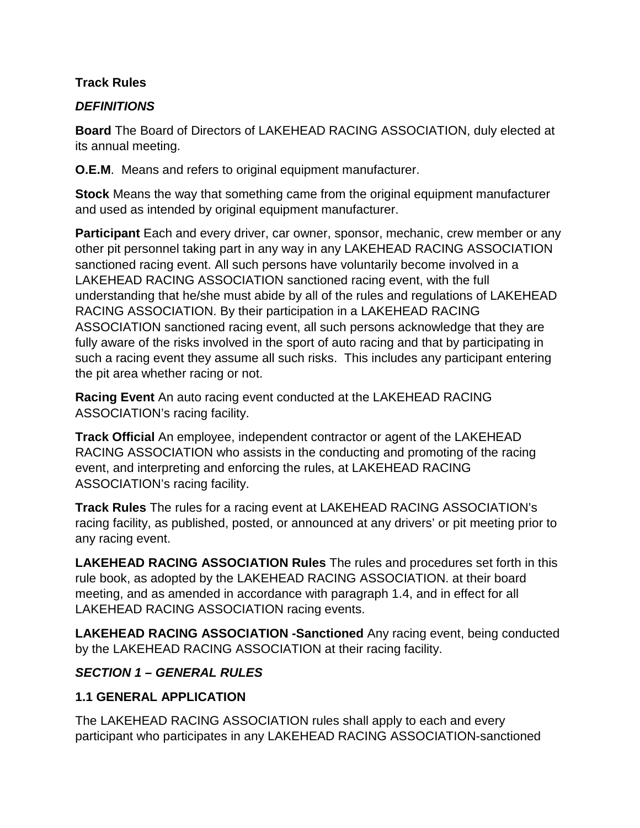#### **Track Rules**

#### *DEFINITIONS*

**Board** The Board of Directors of LAKEHEAD RACING ASSOCIATION, duly elected at its annual meeting.

**O.E.M**. Means and refers to original equipment manufacturer.

**Stock** Means the way that something came from the original equipment manufacturer and used as intended by original equipment manufacturer.

**Participant** Each and every driver, car owner, sponsor, mechanic, crew member or any other pit personnel taking part in any way in any LAKEHEAD RACING ASSOCIATION sanctioned racing event. All such persons have voluntarily become involved in a LAKEHEAD RACING ASSOCIATION sanctioned racing event, with the full understanding that he/she must abide by all of the rules and regulations of LAKEHEAD RACING ASSOCIATION. By their participation in a LAKEHEAD RACING ASSOCIATION sanctioned racing event, all such persons acknowledge that they are fully aware of the risks involved in the sport of auto racing and that by participating in such a racing event they assume all such risks. This includes any participant entering the pit area whether racing or not.

**Racing Event** An auto racing event conducted at the LAKEHEAD RACING ASSOCIATION's racing facility.

**Track Official** An employee, independent contractor or agent of the LAKEHEAD RACING ASSOCIATION who assists in the conducting and promoting of the racing event, and interpreting and enforcing the rules, at LAKEHEAD RACING ASSOCIATION's racing facility.

**Track Rules** The rules for a racing event at LAKEHEAD RACING ASSOCIATION's racing facility, as published, posted, or announced at any drivers' or pit meeting prior to any racing event.

**LAKEHEAD RACING ASSOCIATION Rules** The rules and procedures set forth in this rule book, as adopted by the LAKEHEAD RACING ASSOCIATION. at their board meeting, and as amended in accordance with paragraph 1.4, and in effect for all LAKEHEAD RACING ASSOCIATION racing events.

**LAKEHEAD RACING ASSOCIATION -Sanctioned** Any racing event, being conducted by the LAKEHEAD RACING ASSOCIATION at their racing facility.

### *SECTION 1 – GENERAL RULES*

### **1.1 GENERAL APPLICATION**

The LAKEHEAD RACING ASSOCIATION rules shall apply to each and every participant who participates in any LAKEHEAD RACING ASSOCIATION-sanctioned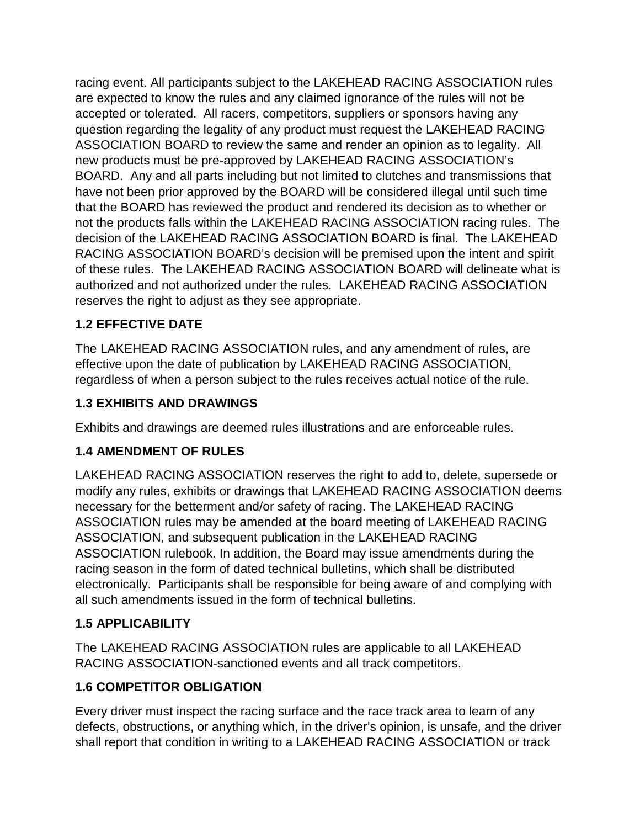racing event. All participants subject to the LAKEHEAD RACING ASSOCIATION rules are expected to know the rules and any claimed ignorance of the rules will not be accepted or tolerated. All racers, competitors, suppliers or sponsors having any question regarding the legality of any product must request the LAKEHEAD RACING ASSOCIATION BOARD to review the same and render an opinion as to legality. All new products must be pre-approved by LAKEHEAD RACING ASSOCIATION's BOARD. Any and all parts including but not limited to clutches and transmissions that have not been prior approved by the BOARD will be considered illegal until such time that the BOARD has reviewed the product and rendered its decision as to whether or not the products falls within the LAKEHEAD RACING ASSOCIATION racing rules. The decision of the LAKEHEAD RACING ASSOCIATION BOARD is final. The LAKEHEAD RACING ASSOCIATION BOARD's decision will be premised upon the intent and spirit of these rules. The LAKEHEAD RACING ASSOCIATION BOARD will delineate what is authorized and not authorized under the rules. LAKEHEAD RACING ASSOCIATION reserves the right to adjust as they see appropriate.

# **1.2 EFFECTIVE DATE**

The LAKEHEAD RACING ASSOCIATION rules, and any amendment of rules, are effective upon the date of publication by LAKEHEAD RACING ASSOCIATION, regardless of when a person subject to the rules receives actual notice of the rule.

### **1.3 EXHIBITS AND DRAWINGS**

Exhibits and drawings are deemed rules illustrations and are enforceable rules.

### **1.4 AMENDMENT OF RULES**

LAKEHEAD RACING ASSOCIATION reserves the right to add to, delete, supersede or modify any rules, exhibits or drawings that LAKEHEAD RACING ASSOCIATION deems necessary for the betterment and/or safety of racing. The LAKEHEAD RACING ASSOCIATION rules may be amended at the board meeting of LAKEHEAD RACING ASSOCIATION, and subsequent publication in the LAKEHEAD RACING ASSOCIATION rulebook. In addition, the Board may issue amendments during the racing season in the form of dated technical bulletins, which shall be distributed electronically. Participants shall be responsible for being aware of and complying with all such amendments issued in the form of technical bulletins.

### **1.5 APPLICABILITY**

The LAKEHEAD RACING ASSOCIATION rules are applicable to all LAKEHEAD RACING ASSOCIATION-sanctioned events and all track competitors.

### **1.6 COMPETITOR OBLIGATION**

Every driver must inspect the racing surface and the race track area to learn of any defects, obstructions, or anything which, in the driver's opinion, is unsafe, and the driver shall report that condition in writing to a LAKEHEAD RACING ASSOCIATION or track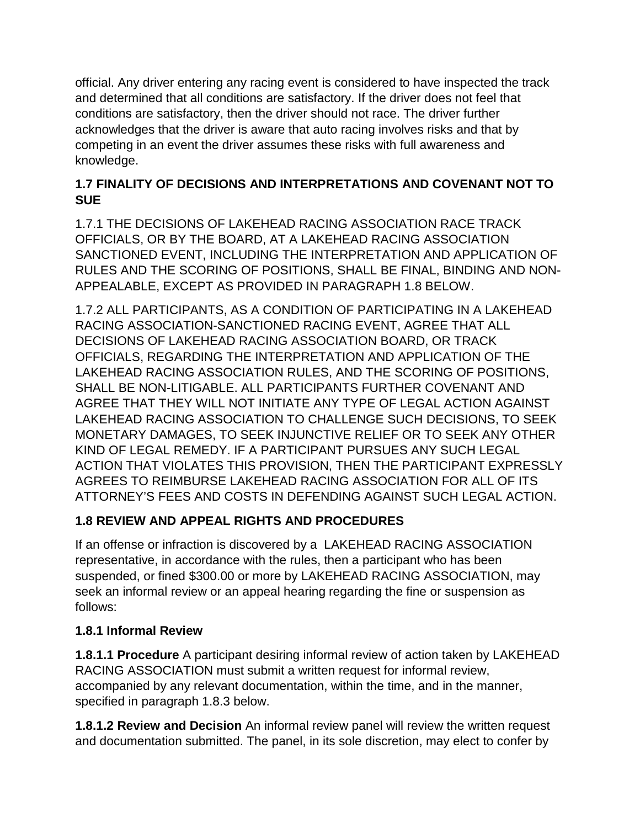official. Any driver entering any racing event is considered to have inspected the track and determined that all conditions are satisfactory. If the driver does not feel that conditions are satisfactory, then the driver should not race. The driver further acknowledges that the driver is aware that auto racing involves risks and that by competing in an event the driver assumes these risks with full awareness and knowledge.

### **1.7 FINALITY OF DECISIONS AND INTERPRETATIONS AND COVENANT NOT TO SUE**

1.7.1 THE DECISIONS OF LAKEHEAD RACING ASSOCIATION RACE TRACK OFFICIALS, OR BY THE BOARD, AT A LAKEHEAD RACING ASSOCIATION SANCTIONED EVENT, INCLUDING THE INTERPRETATION AND APPLICATION OF RULES AND THE SCORING OF POSITIONS, SHALL BE FINAL, BINDING AND NON-APPEALABLE, EXCEPT AS PROVIDED IN PARAGRAPH 1.8 BELOW.

1.7.2 ALL PARTICIPANTS, AS A CONDITION OF PARTICIPATING IN A LAKEHEAD RACING ASSOCIATION-SANCTIONED RACING EVENT, AGREE THAT ALL DECISIONS OF LAKEHEAD RACING ASSOCIATION BOARD, OR TRACK OFFICIALS, REGARDING THE INTERPRETATION AND APPLICATION OF THE LAKEHEAD RACING ASSOCIATION RULES, AND THE SCORING OF POSITIONS, SHALL BE NON-LITIGABLE. ALL PARTICIPANTS FURTHER COVENANT AND AGREE THAT THEY WILL NOT INITIATE ANY TYPE OF LEGAL ACTION AGAINST LAKEHEAD RACING ASSOCIATION TO CHALLENGE SUCH DECISIONS, TO SEEK MONETARY DAMAGES, TO SEEK INJUNCTIVE RELIEF OR TO SEEK ANY OTHER KIND OF LEGAL REMEDY. IF A PARTICIPANT PURSUES ANY SUCH LEGAL ACTION THAT VIOLATES THIS PROVISION, THEN THE PARTICIPANT EXPRESSLY AGREES TO REIMBURSE LAKEHEAD RACING ASSOCIATION FOR ALL OF ITS ATTORNEY'S FEES AND COSTS IN DEFENDING AGAINST SUCH LEGAL ACTION.

# **1.8 REVIEW AND APPEAL RIGHTS AND PROCEDURES**

If an offense or infraction is discovered by a LAKEHEAD RACING ASSOCIATION representative, in accordance with the rules, then a participant who has been suspended, or fined \$300.00 or more by LAKEHEAD RACING ASSOCIATION, may seek an informal review or an appeal hearing regarding the fine or suspension as follows:

### **1.8.1 Informal Review**

**1.8.1.1 Procedure** A participant desiring informal review of action taken by LAKEHEAD RACING ASSOCIATION must submit a written request for informal review, accompanied by any relevant documentation, within the time, and in the manner, specified in paragraph 1.8.3 below.

**1.8.1.2 Review and Decision** An informal review panel will review the written request and documentation submitted. The panel, in its sole discretion, may elect to confer by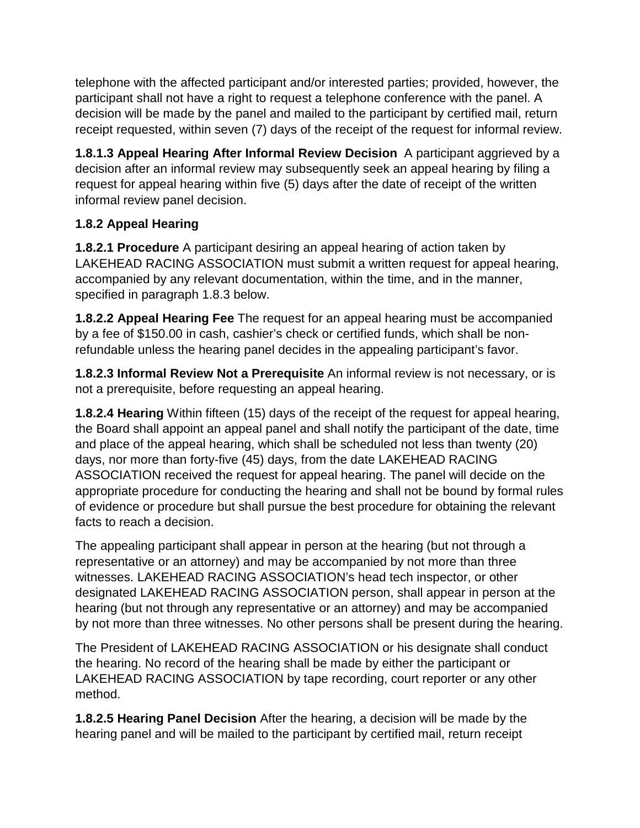telephone with the affected participant and/or interested parties; provided, however, the participant shall not have a right to request a telephone conference with the panel. A decision will be made by the panel and mailed to the participant by certified mail, return receipt requested, within seven (7) days of the receipt of the request for informal review.

**1.8.1.3 Appeal Hearing After Informal Review Decision** A participant aggrieved by a decision after an informal review may subsequently seek an appeal hearing by filing a request for appeal hearing within five (5) days after the date of receipt of the written informal review panel decision.

### **1.8.2 Appeal Hearing**

**1.8.2.1 Procedure** A participant desiring an appeal hearing of action taken by LAKEHEAD RACING ASSOCIATION must submit a written request for appeal hearing, accompanied by any relevant documentation, within the time, and in the manner, specified in paragraph 1.8.3 below.

**1.8.2.2 Appeal Hearing Fee** The request for an appeal hearing must be accompanied by a fee of \$150.00 in cash, cashier's check or certified funds, which shall be nonrefundable unless the hearing panel decides in the appealing participant's favor.

**1.8.2.3 Informal Review Not a Prerequisite** An informal review is not necessary, or is not a prerequisite, before requesting an appeal hearing.

**1.8.2.4 Hearing** Within fifteen (15) days of the receipt of the request for appeal hearing, the Board shall appoint an appeal panel and shall notify the participant of the date, time and place of the appeal hearing, which shall be scheduled not less than twenty (20) days, nor more than forty-five (45) days, from the date LAKEHEAD RACING ASSOCIATION received the request for appeal hearing. The panel will decide on the appropriate procedure for conducting the hearing and shall not be bound by formal rules of evidence or procedure but shall pursue the best procedure for obtaining the relevant facts to reach a decision.

The appealing participant shall appear in person at the hearing (but not through a representative or an attorney) and may be accompanied by not more than three witnesses. LAKEHEAD RACING ASSOCIATION's head tech inspector, or other designated LAKEHEAD RACING ASSOCIATION person, shall appear in person at the hearing (but not through any representative or an attorney) and may be accompanied by not more than three witnesses. No other persons shall be present during the hearing.

The President of LAKEHEAD RACING ASSOCIATION or his designate shall conduct the hearing. No record of the hearing shall be made by either the participant or LAKEHEAD RACING ASSOCIATION by tape recording, court reporter or any other method.

**1.8.2.5 Hearing Panel Decision** After the hearing, a decision will be made by the hearing panel and will be mailed to the participant by certified mail, return receipt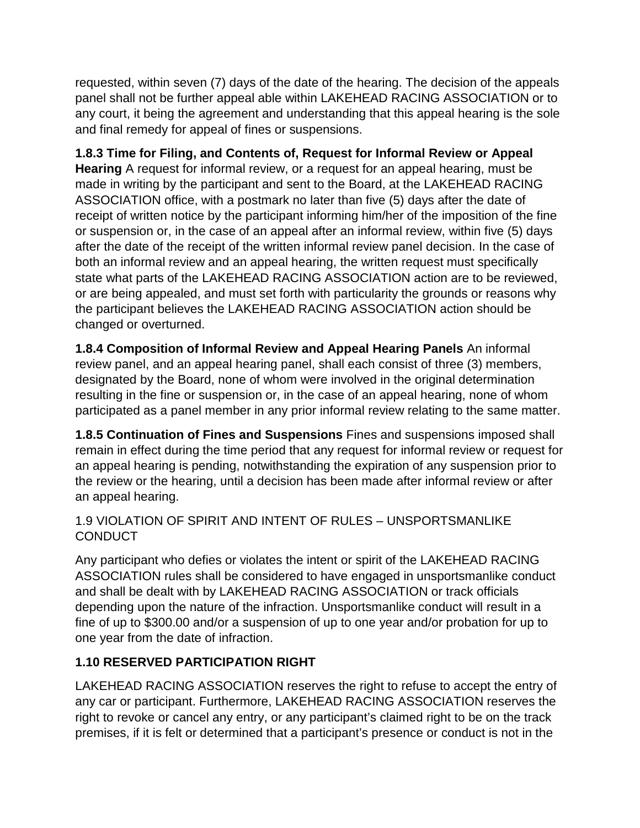requested, within seven (7) days of the date of the hearing. The decision of the appeals panel shall not be further appeal able within LAKEHEAD RACING ASSOCIATION or to any court, it being the agreement and understanding that this appeal hearing is the sole and final remedy for appeal of fines or suspensions.

### **1.8.3 Time for Filing, and Contents of, Request for Informal Review or Appeal**

**Hearing** A request for informal review, or a request for an appeal hearing, must be made in writing by the participant and sent to the Board, at the LAKEHEAD RACING ASSOCIATION office, with a postmark no later than five (5) days after the date of receipt of written notice by the participant informing him/her of the imposition of the fine or suspension or, in the case of an appeal after an informal review, within five (5) days after the date of the receipt of the written informal review panel decision. In the case of both an informal review and an appeal hearing, the written request must specifically state what parts of the LAKEHEAD RACING ASSOCIATION action are to be reviewed, or are being appealed, and must set forth with particularity the grounds or reasons why the participant believes the LAKEHEAD RACING ASSOCIATION action should be changed or overturned.

**1.8.4 Composition of Informal Review and Appeal Hearing Panels** An informal review panel, and an appeal hearing panel, shall each consist of three (3) members, designated by the Board, none of whom were involved in the original determination resulting in the fine or suspension or, in the case of an appeal hearing, none of whom participated as a panel member in any prior informal review relating to the same matter.

**1.8.5 Continuation of Fines and Suspensions** Fines and suspensions imposed shall remain in effect during the time period that any request for informal review or request for an appeal hearing is pending, notwithstanding the expiration of any suspension prior to the review or the hearing, until a decision has been made after informal review or after an appeal hearing.

#### 1.9 VIOLATION OF SPIRIT AND INTENT OF RULES – UNSPORTSMANLIKE **CONDUCT**

Any participant who defies or violates the intent or spirit of the LAKEHEAD RACING ASSOCIATION rules shall be considered to have engaged in unsportsmanlike conduct and shall be dealt with by LAKEHEAD RACING ASSOCIATION or track officials depending upon the nature of the infraction. Unsportsmanlike conduct will result in a fine of up to \$300.00 and/or a suspension of up to one year and/or probation for up to one year from the date of infraction.

### **1.10 RESERVED PARTICIPATION RIGHT**

LAKEHEAD RACING ASSOCIATION reserves the right to refuse to accept the entry of any car or participant. Furthermore, LAKEHEAD RACING ASSOCIATION reserves the right to revoke or cancel any entry, or any participant's claimed right to be on the track premises, if it is felt or determined that a participant's presence or conduct is not in the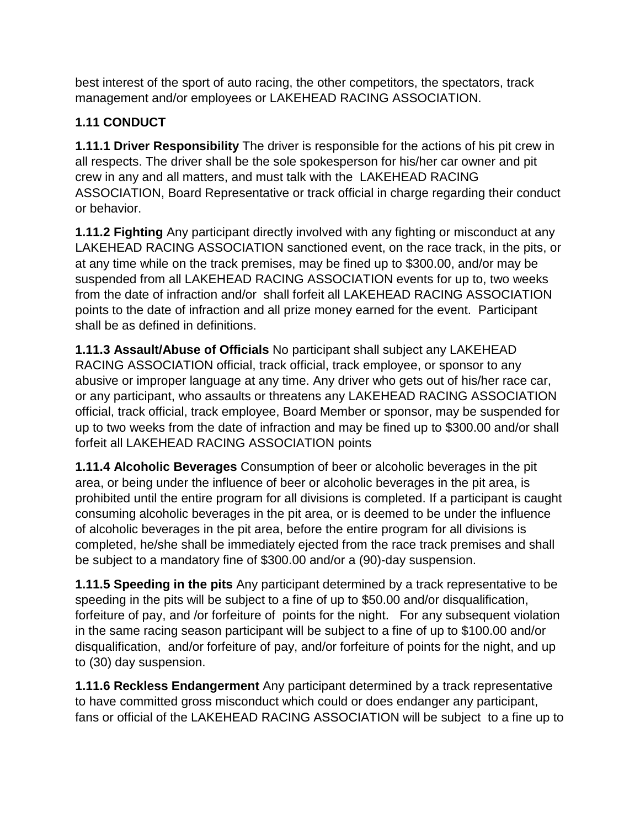best interest of the sport of auto racing, the other competitors, the spectators, track management and/or employees or LAKEHEAD RACING ASSOCIATION.

# **1.11 CONDUCT**

**1.11.1 Driver Responsibility** The driver is responsible for the actions of his pit crew in all respects. The driver shall be the sole spokesperson for his/her car owner and pit crew in any and all matters, and must talk with the LAKEHEAD RACING ASSOCIATION, Board Representative or track official in charge regarding their conduct or behavior.

**1.11.2 Fighting** Any participant directly involved with any fighting or misconduct at any LAKEHEAD RACING ASSOCIATION sanctioned event, on the race track, in the pits, or at any time while on the track premises, may be fined up to \$300.00, and/or may be suspended from all LAKEHEAD RACING ASSOCIATION events for up to, two weeks from the date of infraction and/or shall forfeit all LAKEHEAD RACING ASSOCIATION points to the date of infraction and all prize money earned for the event. Participant shall be as defined in definitions.

**1.11.3 Assault/Abuse of Officials** No participant shall subject any LAKEHEAD RACING ASSOCIATION official, track official, track employee, or sponsor to any abusive or improper language at any time. Any driver who gets out of his/her race car, or any participant, who assaults or threatens any LAKEHEAD RACING ASSOCIATION official, track official, track employee, Board Member or sponsor, may be suspended for up to two weeks from the date of infraction and may be fined up to \$300.00 and/or shall forfeit all LAKEHEAD RACING ASSOCIATION points

**1.11.4 Alcoholic Beverages** Consumption of beer or alcoholic beverages in the pit area, or being under the influence of beer or alcoholic beverages in the pit area, is prohibited until the entire program for all divisions is completed. If a participant is caught consuming alcoholic beverages in the pit area, or is deemed to be under the influence of alcoholic beverages in the pit area, before the entire program for all divisions is completed, he/she shall be immediately ejected from the race track premises and shall be subject to a mandatory fine of \$300.00 and/or a (90)-day suspension.

**1.11.5 Speeding in the pits** Any participant determined by a track representative to be speeding in the pits will be subject to a fine of up to \$50.00 and/or disqualification, forfeiture of pay, and /or forfeiture of points for the night. For any subsequent violation in the same racing season participant will be subject to a fine of up to \$100.00 and/or disqualification, and/or forfeiture of pay, and/or forfeiture of points for the night, and up to (30) day suspension.

**1.11.6 Reckless Endangerment** Any participant determined by a track representative to have committed gross misconduct which could or does endanger any participant, fans or official of the LAKEHEAD RACING ASSOCIATION will be subject to a fine up to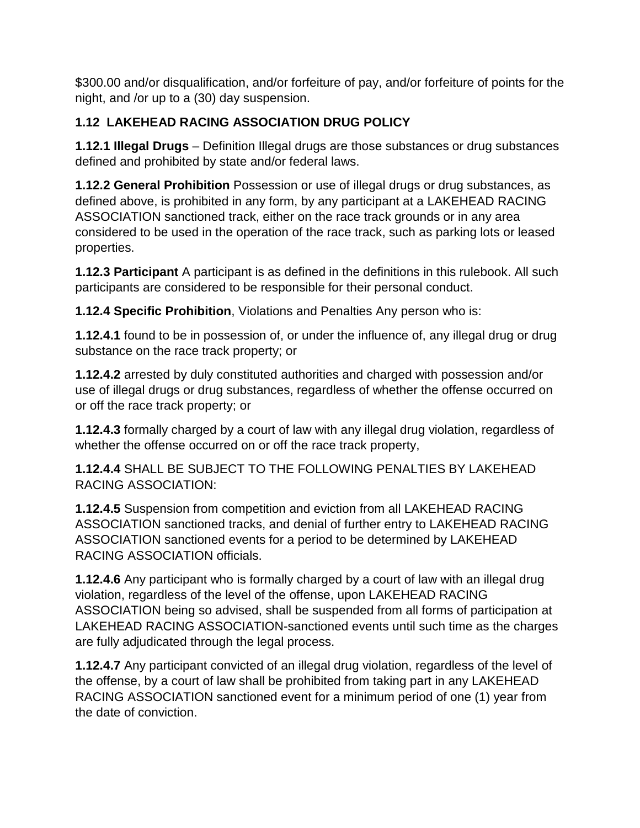\$300.00 and/or disqualification, and/or forfeiture of pay, and/or forfeiture of points for the night, and /or up to a (30) day suspension.

# **1.12 LAKEHEAD RACING ASSOCIATION DRUG POLICY**

**1.12.1 Illegal Drugs** – Definition Illegal drugs are those substances or drug substances defined and prohibited by state and/or federal laws.

**1.12.2 General Prohibition** Possession or use of illegal drugs or drug substances, as defined above, is prohibited in any form, by any participant at a LAKEHEAD RACING ASSOCIATION sanctioned track, either on the race track grounds or in any area considered to be used in the operation of the race track, such as parking lots or leased properties.

**1.12.3 Participant** A participant is as defined in the definitions in this rulebook. All such participants are considered to be responsible for their personal conduct.

**1.12.4 Specific Prohibition**, Violations and Penalties Any person who is:

**1.12.4.1** found to be in possession of, or under the influence of, any illegal drug or drug substance on the race track property; or

**1.12.4.2** arrested by duly constituted authorities and charged with possession and/or use of illegal drugs or drug substances, regardless of whether the offense occurred on or off the race track property; or

**1.12.4.3** formally charged by a court of law with any illegal drug violation, regardless of whether the offense occurred on or off the race track property,

**1.12.4.4** SHALL BE SUBJECT TO THE FOLLOWING PENALTIES BY LAKEHEAD RACING ASSOCIATION:

**1.12.4.5** Suspension from competition and eviction from all LAKEHEAD RACING ASSOCIATION sanctioned tracks, and denial of further entry to LAKEHEAD RACING ASSOCIATION sanctioned events for a period to be determined by LAKEHEAD RACING ASSOCIATION officials.

**1.12.4.6** Any participant who is formally charged by a court of law with an illegal drug violation, regardless of the level of the offense, upon LAKEHEAD RACING ASSOCIATION being so advised, shall be suspended from all forms of participation at LAKEHEAD RACING ASSOCIATION-sanctioned events until such time as the charges are fully adjudicated through the legal process.

**1.12.4.7** Any participant convicted of an illegal drug violation, regardless of the level of the offense, by a court of law shall be prohibited from taking part in any LAKEHEAD RACING ASSOCIATION sanctioned event for a minimum period of one (1) year from the date of conviction.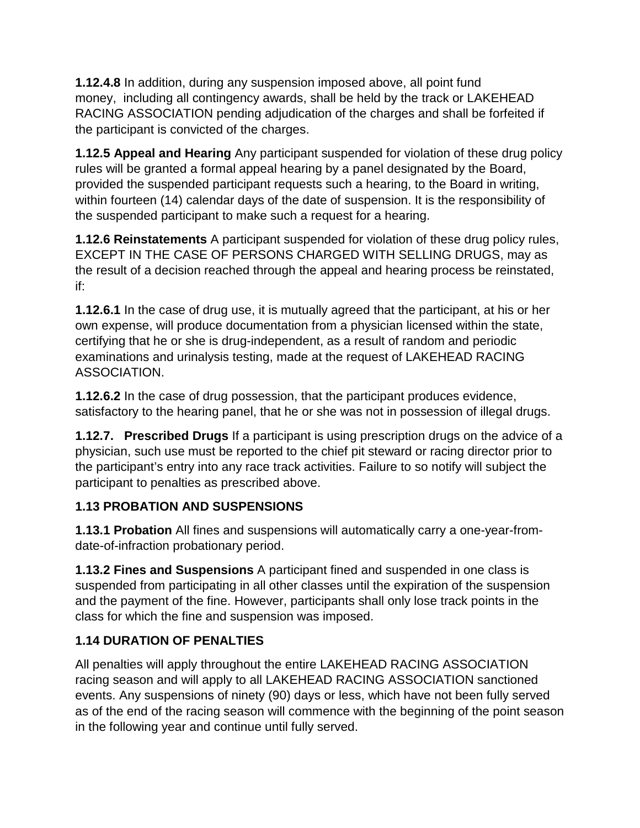**1.12.4.8** In addition, during any suspension imposed above, all point fund money, including all contingency awards, shall be held by the track or LAKEHEAD RACING ASSOCIATION pending adjudication of the charges and shall be forfeited if the participant is convicted of the charges.

**1.12.5 Appeal and Hearing** Any participant suspended for violation of these drug policy rules will be granted a formal appeal hearing by a panel designated by the Board, provided the suspended participant requests such a hearing, to the Board in writing, within fourteen (14) calendar days of the date of suspension. It is the responsibility of the suspended participant to make such a request for a hearing.

**1.12.6 Reinstatements** A participant suspended for violation of these drug policy rules, EXCEPT IN THE CASE OF PERSONS CHARGED WITH SELLING DRUGS, may as the result of a decision reached through the appeal and hearing process be reinstated, if:

**1.12.6.1** In the case of drug use, it is mutually agreed that the participant, at his or her own expense, will produce documentation from a physician licensed within the state, certifying that he or she is drug-independent, as a result of random and periodic examinations and urinalysis testing, made at the request of LAKEHEAD RACING ASSOCIATION.

**1.12.6.2** In the case of drug possession, that the participant produces evidence, satisfactory to the hearing panel, that he or she was not in possession of illegal drugs.

**1.12.7. Prescribed Drugs** If a participant is using prescription drugs on the advice of a physician, such use must be reported to the chief pit steward or racing director prior to the participant's entry into any race track activities. Failure to so notify will subject the participant to penalties as prescribed above.

# **1.13 PROBATION AND SUSPENSIONS**

**1.13.1 Probation** All fines and suspensions will automatically carry a one-year-fromdate-of-infraction probationary period.

**1.13.2 Fines and Suspensions** A participant fined and suspended in one class is suspended from participating in all other classes until the expiration of the suspension and the payment of the fine. However, participants shall only lose track points in the class for which the fine and suspension was imposed.

# **1.14 DURATION OF PENALTIES**

All penalties will apply throughout the entire LAKEHEAD RACING ASSOCIATION racing season and will apply to all LAKEHEAD RACING ASSOCIATION sanctioned events. Any suspensions of ninety (90) days or less, which have not been fully served as of the end of the racing season will commence with the beginning of the point season in the following year and continue until fully served.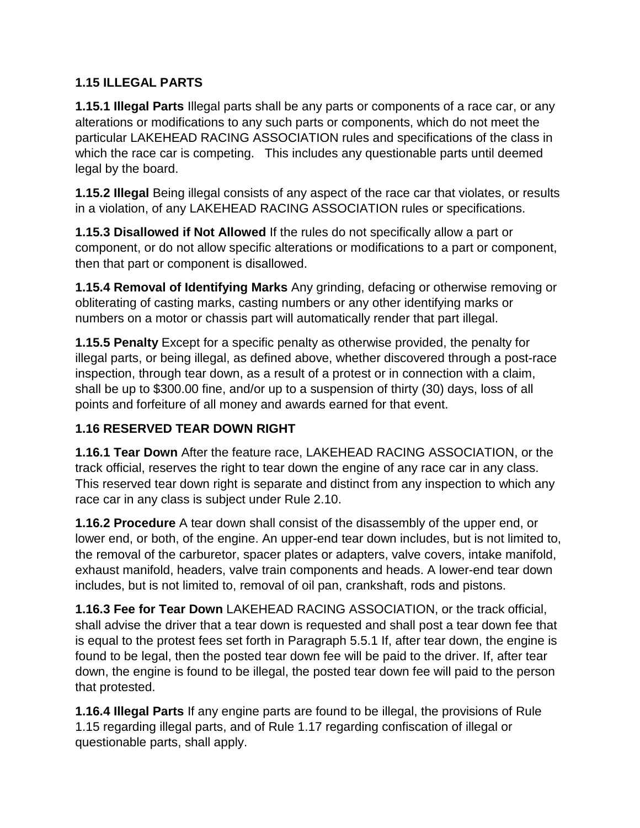### **1.15 ILLEGAL PARTS**

**1.15.1 Illegal Parts** Illegal parts shall be any parts or components of a race car, or any alterations or modifications to any such parts or components, which do not meet the particular LAKEHEAD RACING ASSOCIATION rules and specifications of the class in which the race car is competing. This includes any questionable parts until deemed legal by the board.

**1.15.2 Illegal** Being illegal consists of any aspect of the race car that violates, or results in a violation, of any LAKEHEAD RACING ASSOCIATION rules or specifications.

**1.15.3 Disallowed if Not Allowed** If the rules do not specifically allow a part or component, or do not allow specific alterations or modifications to a part or component, then that part or component is disallowed.

**1.15.4 Removal of Identifying Marks** Any grinding, defacing or otherwise removing or obliterating of casting marks, casting numbers or any other identifying marks or numbers on a motor or chassis part will automatically render that part illegal.

**1.15.5 Penalty** Except for a specific penalty as otherwise provided, the penalty for illegal parts, or being illegal, as defined above, whether discovered through a post-race inspection, through tear down, as a result of a protest or in connection with a claim, shall be up to \$300.00 fine, and/or up to a suspension of thirty (30) days, loss of all points and forfeiture of all money and awards earned for that event.

# **1.16 RESERVED TEAR DOWN RIGHT**

**1.16.1 Tear Down** After the feature race, LAKEHEAD RACING ASSOCIATION, or the track official, reserves the right to tear down the engine of any race car in any class. This reserved tear down right is separate and distinct from any inspection to which any race car in any class is subject under Rule 2.10.

**1.16.2 Procedure** A tear down shall consist of the disassembly of the upper end, or lower end, or both, of the engine. An upper-end tear down includes, but is not limited to, the removal of the carburetor, spacer plates or adapters, valve covers, intake manifold, exhaust manifold, headers, valve train components and heads. A lower-end tear down includes, but is not limited to, removal of oil pan, crankshaft, rods and pistons.

**1.16.3 Fee for Tear Down** LAKEHEAD RACING ASSOCIATION, or the track official, shall advise the driver that a tear down is requested and shall post a tear down fee that is equal to the protest fees set forth in Paragraph 5.5.1 If, after tear down, the engine is found to be legal, then the posted tear down fee will be paid to the driver. If, after tear down, the engine is found to be illegal, the posted tear down fee will paid to the person that protested.

**1.16.4 Illegal Parts** If any engine parts are found to be illegal, the provisions of Rule 1.15 regarding illegal parts, and of Rule 1.17 regarding confiscation of illegal or questionable parts, shall apply.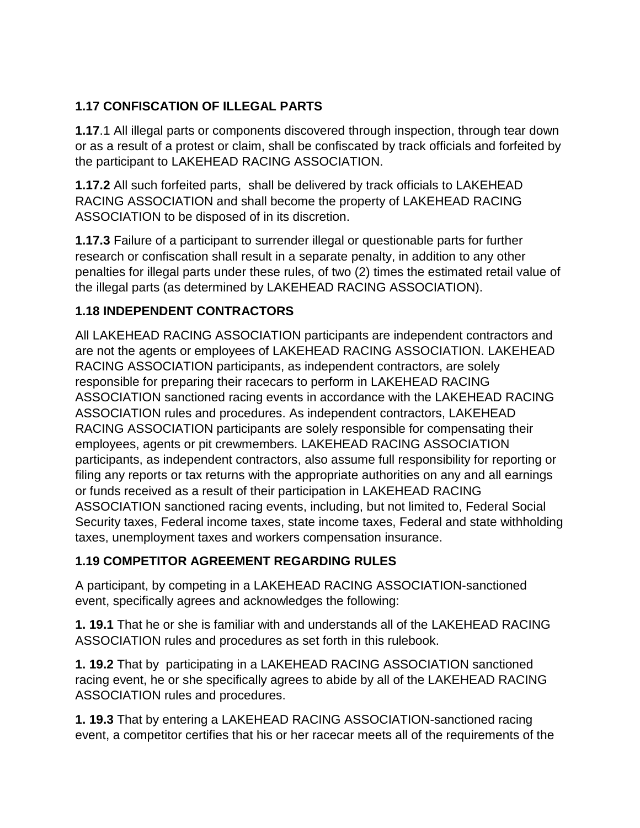# **1.17 CONFISCATION OF ILLEGAL PARTS**

**1.17**.1 All illegal parts or components discovered through inspection, through tear down or as a result of a protest or claim, shall be confiscated by track officials and forfeited by the participant to LAKEHEAD RACING ASSOCIATION.

**1.17.2** All such forfeited parts, shall be delivered by track officials to LAKEHEAD RACING ASSOCIATION and shall become the property of LAKEHEAD RACING ASSOCIATION to be disposed of in its discretion.

**1.17.3** Failure of a participant to surrender illegal or questionable parts for further research or confiscation shall result in a separate penalty, in addition to any other penalties for illegal parts under these rules, of two (2) times the estimated retail value of the illegal parts (as determined by LAKEHEAD RACING ASSOCIATION).

# **1.18 INDEPENDENT CONTRACTORS**

All LAKEHEAD RACING ASSOCIATION participants are independent contractors and are not the agents or employees of LAKEHEAD RACING ASSOCIATION. LAKEHEAD RACING ASSOCIATION participants, as independent contractors, are solely responsible for preparing their racecars to perform in LAKEHEAD RACING ASSOCIATION sanctioned racing events in accordance with the LAKEHEAD RACING ASSOCIATION rules and procedures. As independent contractors, LAKEHEAD RACING ASSOCIATION participants are solely responsible for compensating their employees, agents or pit crewmembers. LAKEHEAD RACING ASSOCIATION participants, as independent contractors, also assume full responsibility for reporting or filing any reports or tax returns with the appropriate authorities on any and all earnings or funds received as a result of their participation in LAKEHEAD RACING ASSOCIATION sanctioned racing events, including, but not limited to, Federal Social Security taxes, Federal income taxes, state income taxes, Federal and state withholding taxes, unemployment taxes and workers compensation insurance.

### **1.19 COMPETITOR AGREEMENT REGARDING RULES**

A participant, by competing in a LAKEHEAD RACING ASSOCIATION-sanctioned event, specifically agrees and acknowledges the following:

**1. 19.1** That he or she is familiar with and understands all of the LAKEHEAD RACING ASSOCIATION rules and procedures as set forth in this rulebook.

**1. 19.2** That by participating in a LAKEHEAD RACING ASSOCIATION sanctioned racing event, he or she specifically agrees to abide by all of the LAKEHEAD RACING ASSOCIATION rules and procedures.

**1. 19.3** That by entering a LAKEHEAD RACING ASSOCIATION-sanctioned racing event, a competitor certifies that his or her racecar meets all of the requirements of the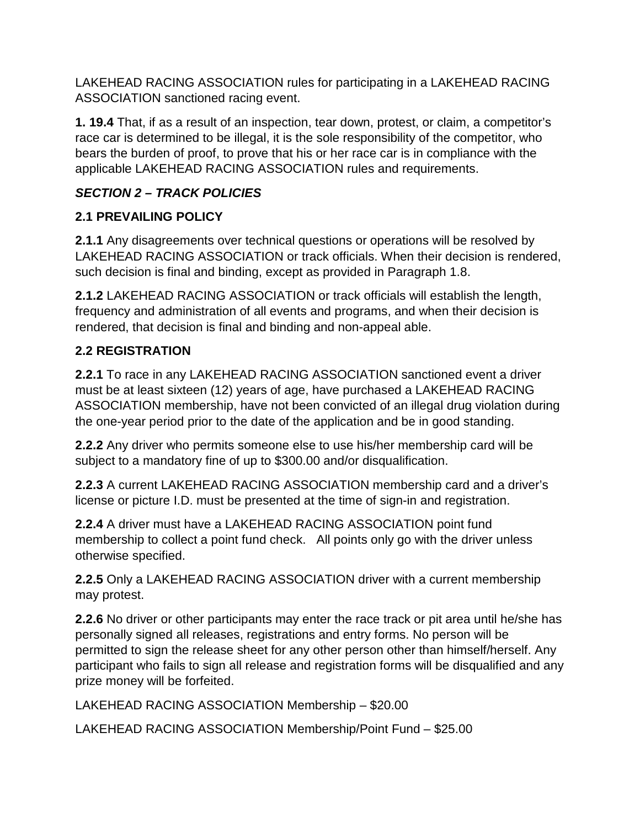LAKEHEAD RACING ASSOCIATION rules for participating in a LAKEHEAD RACING ASSOCIATION sanctioned racing event.

**1. 19.4** That, if as a result of an inspection, tear down, protest, or claim, a competitor's race car is determined to be illegal, it is the sole responsibility of the competitor, who bears the burden of proof, to prove that his or her race car is in compliance with the applicable LAKEHEAD RACING ASSOCIATION rules and requirements.

# *SECTION 2 – TRACK POLICIES*

# **2.1 PREVAILING POLICY**

**2.1.1** Any disagreements over technical questions or operations will be resolved by LAKEHEAD RACING ASSOCIATION or track officials. When their decision is rendered, such decision is final and binding, except as provided in Paragraph 1.8.

**2.1.2** LAKEHEAD RACING ASSOCIATION or track officials will establish the length, frequency and administration of all events and programs, and when their decision is rendered, that decision is final and binding and non-appeal able.

# **2.2 REGISTRATION**

**2.2.1** To race in any LAKEHEAD RACING ASSOCIATION sanctioned event a driver must be at least sixteen (12) years of age, have purchased a LAKEHEAD RACING ASSOCIATION membership, have not been convicted of an illegal drug violation during the one-year period prior to the date of the application and be in good standing.

**2.2.2** Any driver who permits someone else to use his/her membership card will be subject to a mandatory fine of up to \$300.00 and/or disqualification.

**2.2.3** A current LAKEHEAD RACING ASSOCIATION membership card and a driver's license or picture I.D. must be presented at the time of sign-in and registration.

**2.2.4** A driver must have a LAKEHEAD RACING ASSOCIATION point fund membership to collect a point fund check. All points only go with the driver unless otherwise specified.

**2.2.5** Only a LAKEHEAD RACING ASSOCIATION driver with a current membership may protest.

**2.2.6** No driver or other participants may enter the race track or pit area until he/she has personally signed all releases, registrations and entry forms. No person will be permitted to sign the release sheet for any other person other than himself/herself. Any participant who fails to sign all release and registration forms will be disqualified and any prize money will be forfeited.

LAKEHEAD RACING ASSOCIATION Membership – \$20.00

LAKEHEAD RACING ASSOCIATION Membership/Point Fund – \$25.00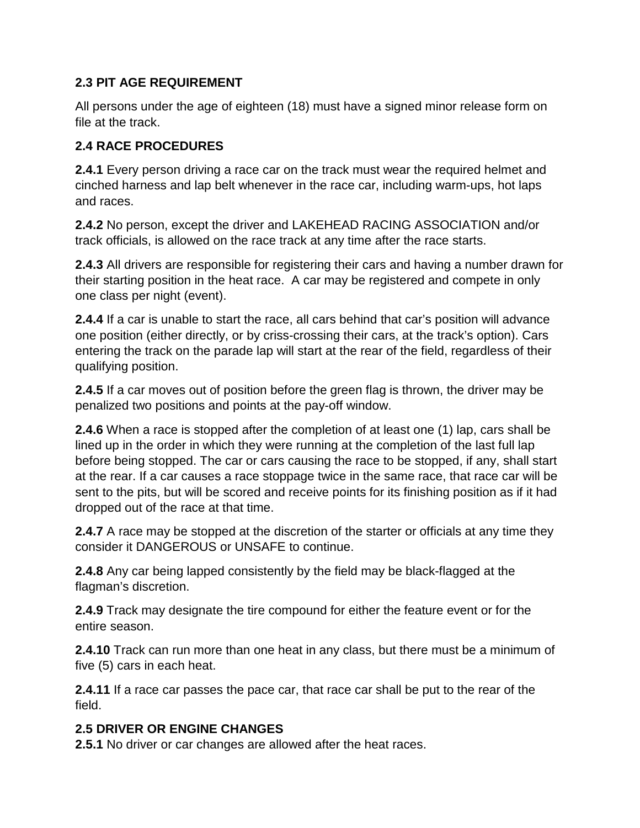#### **2.3 PIT AGE REQUIREMENT**

All persons under the age of eighteen (18) must have a signed minor release form on file at the track.

#### **2.4 RACE PROCEDURES**

**2.4.1** Every person driving a race car on the track must wear the required helmet and cinched harness and lap belt whenever in the race car, including warm-ups, hot laps and races.

**2.4.2** No person, except the driver and LAKEHEAD RACING ASSOCIATION and/or track officials, is allowed on the race track at any time after the race starts.

**2.4.3** All drivers are responsible for registering their cars and having a number drawn for their starting position in the heat race. A car may be registered and compete in only one class per night (event).

**2.4.4** If a car is unable to start the race, all cars behind that car's position will advance one position (either directly, or by criss-crossing their cars, at the track's option). Cars entering the track on the parade lap will start at the rear of the field, regardless of their qualifying position.

**2.4.5** If a car moves out of position before the green flag is thrown, the driver may be penalized two positions and points at the pay-off window.

**2.4.6** When a race is stopped after the completion of at least one (1) lap, cars shall be lined up in the order in which they were running at the completion of the last full lap before being stopped. The car or cars causing the race to be stopped, if any, shall start at the rear. If a car causes a race stoppage twice in the same race, that race car will be sent to the pits, but will be scored and receive points for its finishing position as if it had dropped out of the race at that time.

**2.4.7** A race may be stopped at the discretion of the starter or officials at any time they consider it DANGEROUS or UNSAFE to continue.

**2.4.8** Any car being lapped consistently by the field may be black-flagged at the flagman's discretion.

**2.4.9** Track may designate the tire compound for either the feature event or for the entire season.

**2.4.10** Track can run more than one heat in any class, but there must be a minimum of five (5) cars in each heat.

**2.4.11** If a race car passes the pace car, that race car shall be put to the rear of the field.

#### **2.5 DRIVER OR ENGINE CHANGES**

**2.5.1** No driver or car changes are allowed after the heat races.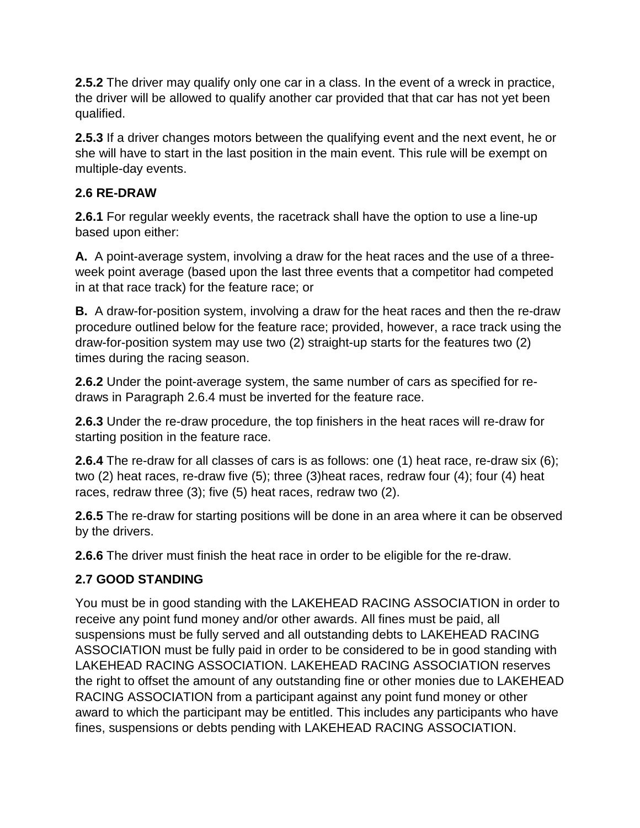**2.5.2** The driver may qualify only one car in a class. In the event of a wreck in practice, the driver will be allowed to qualify another car provided that that car has not yet been qualified.

**2.5.3** If a driver changes motors between the qualifying event and the next event, he or she will have to start in the last position in the main event. This rule will be exempt on multiple-day events.

#### **2.6 RE-DRAW**

**2.6.1** For regular weekly events, the racetrack shall have the option to use a line-up based upon either:

**A.** A point-average system, involving a draw for the heat races and the use of a threeweek point average (based upon the last three events that a competitor had competed in at that race track) for the feature race; or

**B.** A draw-for-position system, involving a draw for the heat races and then the re-draw procedure outlined below for the feature race; provided, however, a race track using the draw-for-position system may use two (2) straight-up starts for the features two (2) times during the racing season.

**2.6.2** Under the point-average system, the same number of cars as specified for redraws in Paragraph 2.6.4 must be inverted for the feature race.

**2.6.3** Under the re-draw procedure, the top finishers in the heat races will re-draw for starting position in the feature race.

**2.6.4** The re-draw for all classes of cars is as follows: one (1) heat race, re-draw six (6); two (2) heat races, re-draw five (5); three (3)heat races, redraw four (4); four (4) heat races, redraw three (3); five (5) heat races, redraw two (2).

**2.6.5** The re-draw for starting positions will be done in an area where it can be observed by the drivers.

**2.6.6** The driver must finish the heat race in order to be eligible for the re-draw.

### **2.7 GOOD STANDING**

You must be in good standing with the LAKEHEAD RACING ASSOCIATION in order to receive any point fund money and/or other awards. All fines must be paid, all suspensions must be fully served and all outstanding debts to LAKEHEAD RACING ASSOCIATION must be fully paid in order to be considered to be in good standing with LAKEHEAD RACING ASSOCIATION. LAKEHEAD RACING ASSOCIATION reserves the right to offset the amount of any outstanding fine or other monies due to LAKEHEAD RACING ASSOCIATION from a participant against any point fund money or other award to which the participant may be entitled. This includes any participants who have fines, suspensions or debts pending with LAKEHEAD RACING ASSOCIATION.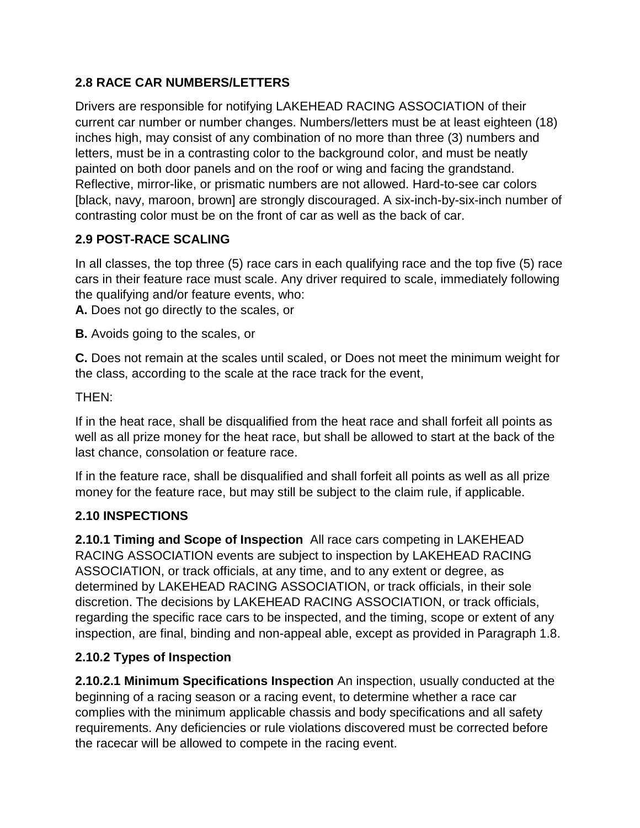### **2.8 RACE CAR NUMBERS/LETTERS**

Drivers are responsible for notifying LAKEHEAD RACING ASSOCIATION of their current car number or number changes. Numbers/letters must be at least eighteen (18) inches high, may consist of any combination of no more than three (3) numbers and letters, must be in a contrasting color to the background color, and must be neatly painted on both door panels and on the roof or wing and facing the grandstand. Reflective, mirror-like, or prismatic numbers are not allowed. Hard-to-see car colors [black, navy, maroon, brown] are strongly discouraged. A six-inch-by-six-inch number of contrasting color must be on the front of car as well as the back of car.

# **2.9 POST-RACE SCALING**

In all classes, the top three (5) race cars in each qualifying race and the top five (5) race cars in their feature race must scale. Any driver required to scale, immediately following the qualifying and/or feature events, who:

**A.** Does not go directly to the scales, or

**B.** Avoids going to the scales, or

**C.** Does not remain at the scales until scaled, or Does not meet the minimum weight for the class, according to the scale at the race track for the event,

### THEN:

If in the heat race, shall be disqualified from the heat race and shall forfeit all points as well as all prize money for the heat race, but shall be allowed to start at the back of the last chance, consolation or feature race.

If in the feature race, shall be disqualified and shall forfeit all points as well as all prize money for the feature race, but may still be subject to the claim rule, if applicable.

### **2.10 INSPECTIONS**

**2.10.1 Timing and Scope of Inspection** All race cars competing in LAKEHEAD RACING ASSOCIATION events are subject to inspection by LAKEHEAD RACING ASSOCIATION, or track officials, at any time, and to any extent or degree, as determined by LAKEHEAD RACING ASSOCIATION, or track officials, in their sole discretion. The decisions by LAKEHEAD RACING ASSOCIATION, or track officials, regarding the specific race cars to be inspected, and the timing, scope or extent of any inspection, are final, binding and non-appeal able, except as provided in Paragraph 1.8.

### **2.10.2 Types of Inspection**

**2.10.2.1 Minimum Specifications Inspection** An inspection, usually conducted at the beginning of a racing season or a racing event, to determine whether a race car complies with the minimum applicable chassis and body specifications and all safety requirements. Any deficiencies or rule violations discovered must be corrected before the racecar will be allowed to compete in the racing event.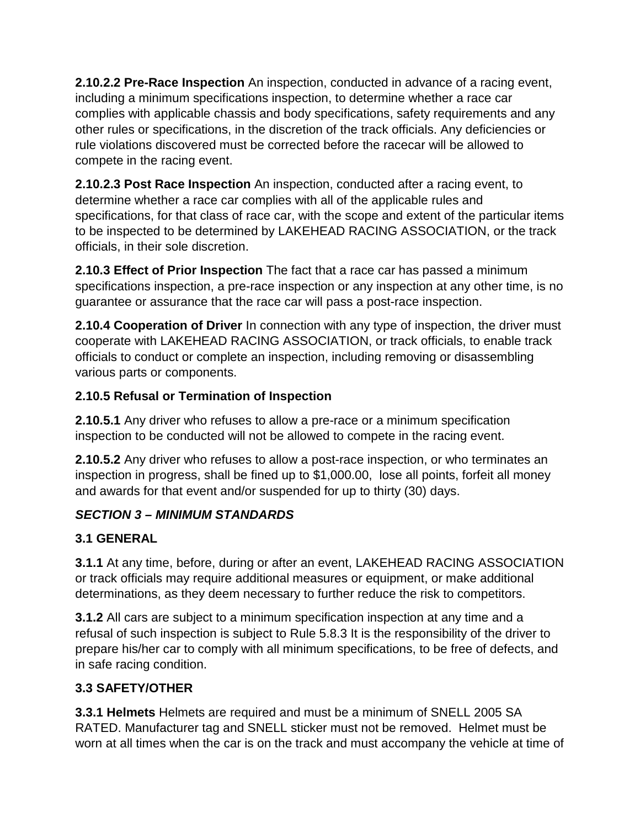**2.10.2.2 Pre-Race Inspection** An inspection, conducted in advance of a racing event, including a minimum specifications inspection, to determine whether a race car complies with applicable chassis and body specifications, safety requirements and any other rules or specifications, in the discretion of the track officials. Any deficiencies or rule violations discovered must be corrected before the racecar will be allowed to compete in the racing event.

**2.10.2.3 Post Race Inspection** An inspection, conducted after a racing event, to determine whether a race car complies with all of the applicable rules and specifications, for that class of race car, with the scope and extent of the particular items to be inspected to be determined by LAKEHEAD RACING ASSOCIATION, or the track officials, in their sole discretion.

**2.10.3 Effect of Prior Inspection** The fact that a race car has passed a minimum specifications inspection, a pre-race inspection or any inspection at any other time, is no guarantee or assurance that the race car will pass a post-race inspection.

**2.10.4 Cooperation of Driver** In connection with any type of inspection, the driver must cooperate with LAKEHEAD RACING ASSOCIATION, or track officials, to enable track officials to conduct or complete an inspection, including removing or disassembling various parts or components.

# **2.10.5 Refusal or Termination of Inspection**

**2.10.5.1** Any driver who refuses to allow a pre-race or a minimum specification inspection to be conducted will not be allowed to compete in the racing event.

**2.10.5.2** Any driver who refuses to allow a post-race inspection, or who terminates an inspection in progress, shall be fined up to \$1,000.00, lose all points, forfeit all money and awards for that event and/or suspended for up to thirty (30) days.

# *SECTION 3 – MINIMUM STANDARDS*

# **3.1 GENERAL**

**3.1.1** At any time, before, during or after an event, LAKEHEAD RACING ASSOCIATION or track officials may require additional measures or equipment, or make additional determinations, as they deem necessary to further reduce the risk to competitors.

**3.1.2** All cars are subject to a minimum specification inspection at any time and a refusal of such inspection is subject to Rule 5.8.3 It is the responsibility of the driver to prepare his/her car to comply with all minimum specifications, to be free of defects, and in safe racing condition.

# **3.3 SAFETY/OTHER**

**3.3.1 Helmets** Helmets are required and must be a minimum of SNELL 2005 SA RATED. Manufacturer tag and SNELL sticker must not be removed. Helmet must be worn at all times when the car is on the track and must accompany the vehicle at time of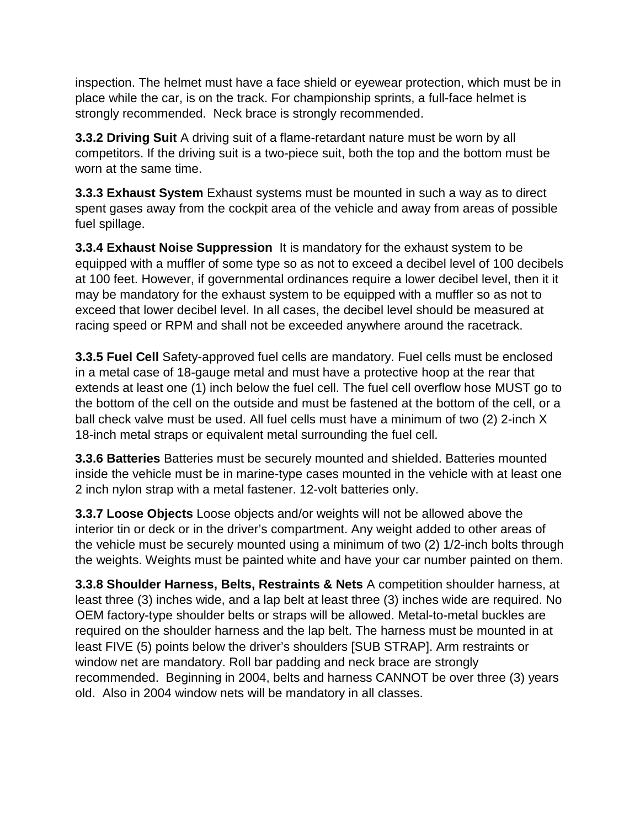inspection. The helmet must have a face shield or eyewear protection, which must be in place while the car, is on the track. For championship sprints, a full-face helmet is strongly recommended. Neck brace is strongly recommended.

**3.3.2 Driving Suit** A driving suit of a flame-retardant nature must be worn by all competitors. If the driving suit is a two-piece suit, both the top and the bottom must be worn at the same time.

**3.3.3 Exhaust System** Exhaust systems must be mounted in such a way as to direct spent gases away from the cockpit area of the vehicle and away from areas of possible fuel spillage.

**3.3.4 Exhaust Noise Suppression** It is mandatory for the exhaust system to be equipped with a muffler of some type so as not to exceed a decibel level of 100 decibels at 100 feet. However, if governmental ordinances require a lower decibel level, then it it may be mandatory for the exhaust system to be equipped with a muffler so as not to exceed that lower decibel level. In all cases, the decibel level should be measured at racing speed or RPM and shall not be exceeded anywhere around the racetrack.

**3.3.5 Fuel Cell** Safety-approved fuel cells are mandatory. Fuel cells must be enclosed in a metal case of 18-gauge metal and must have a protective hoop at the rear that extends at least one (1) inch below the fuel cell. The fuel cell overflow hose MUST go to the bottom of the cell on the outside and must be fastened at the bottom of the cell, or a ball check valve must be used. All fuel cells must have a minimum of two (2) 2-inch X 18-inch metal straps or equivalent metal surrounding the fuel cell.

**3.3.6 Batteries** Batteries must be securely mounted and shielded. Batteries mounted inside the vehicle must be in marine-type cases mounted in the vehicle with at least one 2 inch nylon strap with a metal fastener. 12-volt batteries only.

**3.3.7 Loose Objects** Loose objects and/or weights will not be allowed above the interior tin or deck or in the driver's compartment. Any weight added to other areas of the vehicle must be securely mounted using a minimum of two (2) 1/2-inch bolts through the weights. Weights must be painted white and have your car number painted on them.

**3.3.8 Shoulder Harness, Belts, Restraints & Nets** A competition shoulder harness, at least three (3) inches wide, and a lap belt at least three (3) inches wide are required. No OEM factory-type shoulder belts or straps will be allowed. Metal-to-metal buckles are required on the shoulder harness and the lap belt. The harness must be mounted in at least FIVE (5) points below the driver's shoulders [SUB STRAP]. Arm restraints or window net are mandatory. Roll bar padding and neck brace are strongly recommended. Beginning in 2004, belts and harness CANNOT be over three (3) years old. Also in 2004 window nets will be mandatory in all classes.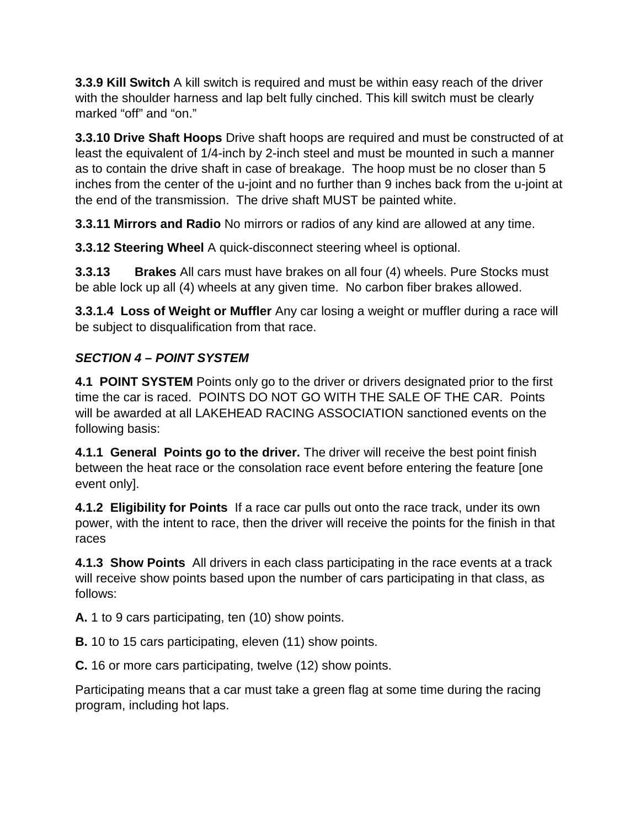**3.3.9 Kill Switch** A kill switch is required and must be within easy reach of the driver with the shoulder harness and lap belt fully cinched. This kill switch must be clearly marked "off" and "on."

**3.3.10 Drive Shaft Hoops** Drive shaft hoops are required and must be constructed of at least the equivalent of 1/4-inch by 2-inch steel and must be mounted in such a manner as to contain the drive shaft in case of breakage. The hoop must be no closer than 5 inches from the center of the u-joint and no further than 9 inches back from the u-joint at the end of the transmission. The drive shaft MUST be painted white.

**3.3.11 Mirrors and Radio** No mirrors or radios of any kind are allowed at any time.

**3.3.12 Steering Wheel** A quick-disconnect steering wheel is optional.

**3.3.13 Brakes** All cars must have brakes on all four (4) wheels. Pure Stocks must be able lock up all (4) wheels at any given time. No carbon fiber brakes allowed.

**3.3.1.4 Loss of Weight or Muffler** Any car losing a weight or muffler during a race will be subject to disqualification from that race.

# *SECTION 4 – POINT SYSTEM*

**4.1 POINT SYSTEM** Points only go to the driver or drivers designated prior to the first time the car is raced. POINTS DO NOT GO WITH THE SALE OF THE CAR. Points will be awarded at all LAKEHEAD RACING ASSOCIATION sanctioned events on the following basis:

**4.1.1 General Points go to the driver.** The driver will receive the best point finish between the heat race or the consolation race event before entering the feature [one event only].

**4.1.2 Eligibility for Points** If a race car pulls out onto the race track, under its own power, with the intent to race, then the driver will receive the points for the finish in that races

**4.1.3 Show Points** All drivers in each class participating in the race events at a track will receive show points based upon the number of cars participating in that class, as follows:

**A.** 1 to 9 cars participating, ten (10) show points.

**B.** 10 to 15 cars participating, eleven (11) show points.

**C.** 16 or more cars participating, twelve (12) show points.

Participating means that a car must take a green flag at some time during the racing program, including hot laps.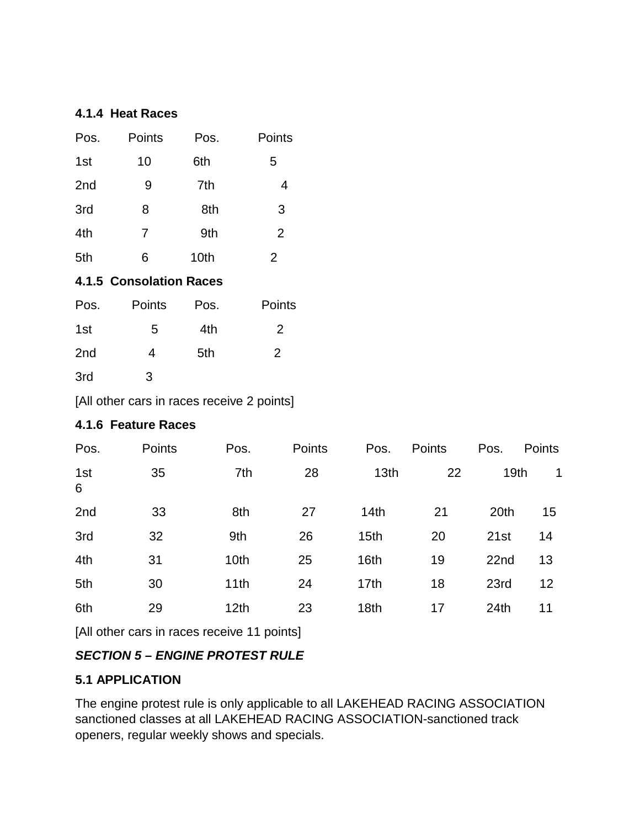#### **4.1.4 Heat Races**

| Pos.                           | Points         | Pos. | Points         |  |  |  |  |  |
|--------------------------------|----------------|------|----------------|--|--|--|--|--|
| 1st                            | 10             | 6th  | 5              |  |  |  |  |  |
| 2 <sub>nd</sub>                | 9              | 7th  | 4              |  |  |  |  |  |
| 3rd                            | 8              | 8th  | 3              |  |  |  |  |  |
| 4th                            | $\overline{7}$ | 9th  | $\overline{2}$ |  |  |  |  |  |
| 5th                            | 6              | 10th | $\overline{2}$ |  |  |  |  |  |
| <b>4.1.5 Consolation Races</b> |                |      |                |  |  |  |  |  |
| Pos.                           | Points         | Pos. | Points         |  |  |  |  |  |
| 1st                            | 5              | 4th  | $\overline{2}$ |  |  |  |  |  |
| 2 <sub>nd</sub>                | $\overline{4}$ | 5th  | $\overline{2}$ |  |  |  |  |  |
| 3rd                            | 3              |      |                |  |  |  |  |  |

[All other cars in races receive 2 points]

#### **4.1.6 Feature Races**

| Pos.     | Points | Pos.             | Points | Pos.             | Points | Pos.             | Points |
|----------|--------|------------------|--------|------------------|--------|------------------|--------|
| 1st<br>6 | 35     | 7th              | 28     | 13 <sub>th</sub> | 22     | 19 <sub>th</sub> | 1      |
| 2nd      | 33     | 8th              | 27     | 14 <sub>th</sub> | 21     | 20th             | 15     |
| 3rd      | 32     | 9th              | 26     | 15 <sub>th</sub> | 20     | 21st             | 14     |
| 4th      | 31     | 10th             | 25     | 16th             | 19     | 22nd             | 13     |
| 5th      | 30     | 11th             | 24     | 17 <sub>th</sub> | 18     | 23rd             | 12     |
| 6th      | 29     | 12 <sub>th</sub> | 23     | 18th             | 17     | 24th             | 11     |

[All other cars in races receive 11 points]

### *SECTION 5 – ENGINE PROTEST RULE*

#### **5.1 APPLICATION**

The engine protest rule is only applicable to all LAKEHEAD RACING ASSOCIATION sanctioned classes at all LAKEHEAD RACING ASSOCIATION-sanctioned track openers, regular weekly shows and specials.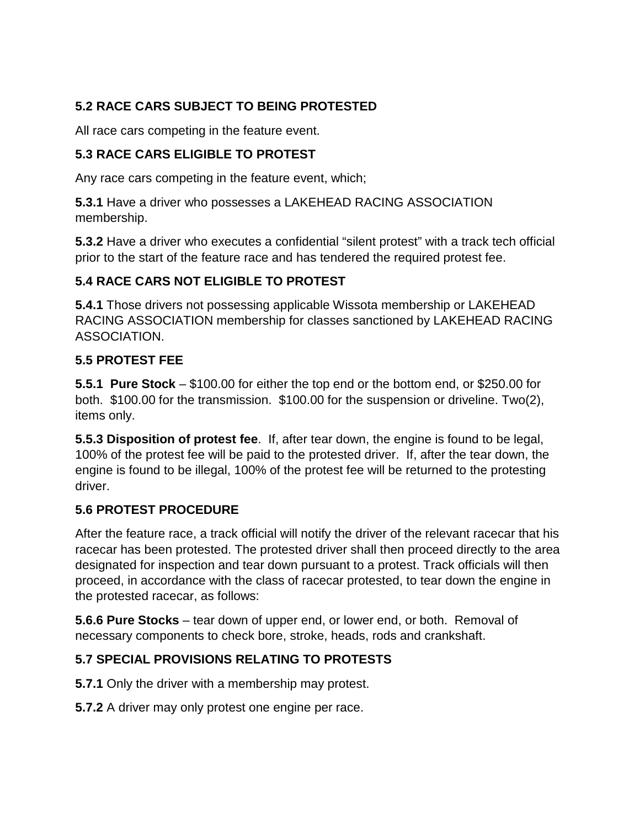# **5.2 RACE CARS SUBJECT TO BEING PROTESTED**

All race cars competing in the feature event.

#### **5.3 RACE CARS ELIGIBLE TO PROTEST**

Any race cars competing in the feature event, which;

**5.3.1** Have a driver who possesses a LAKEHEAD RACING ASSOCIATION membership.

**5.3.2** Have a driver who executes a confidential "silent protest" with a track tech official prior to the start of the feature race and has tendered the required protest fee.

#### **5.4 RACE CARS NOT ELIGIBLE TO PROTEST**

**5.4.1** Those drivers not possessing applicable Wissota membership or LAKEHEAD RACING ASSOCIATION membership for classes sanctioned by LAKEHEAD RACING ASSOCIATION.

#### **5.5 PROTEST FEE**

**5.5.1 Pure Stock** – \$100.00 for either the top end or the bottom end, or \$250.00 for both. \$100.00 for the transmission. \$100.00 for the suspension or driveline. Two(2), items only.

**5.5.3 Disposition of protest fee**. If, after tear down, the engine is found to be legal, 100% of the protest fee will be paid to the protested driver. If, after the tear down, the engine is found to be illegal, 100% of the protest fee will be returned to the protesting driver.

### **5.6 PROTEST PROCEDURE**

After the feature race, a track official will notify the driver of the relevant racecar that his racecar has been protested. The protested driver shall then proceed directly to the area designated for inspection and tear down pursuant to a protest. Track officials will then proceed, in accordance with the class of racecar protested, to tear down the engine in the protested racecar, as follows:

**5.6.6 Pure Stocks** – tear down of upper end, or lower end, or both. Removal of necessary components to check bore, stroke, heads, rods and crankshaft.

### **5.7 SPECIAL PROVISIONS RELATING TO PROTESTS**

**5.7.1** Only the driver with a membership may protest.

**5.7.2** A driver may only protest one engine per race.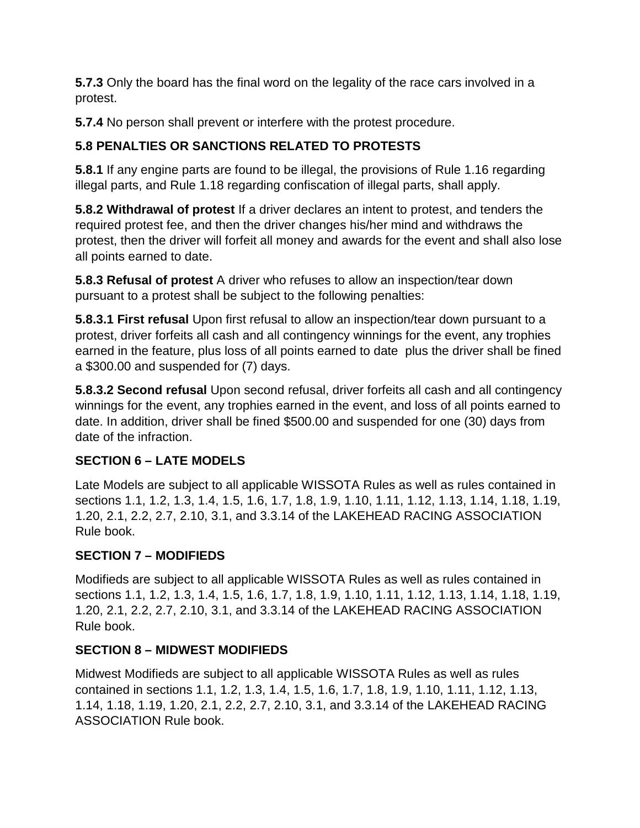**5.7.3** Only the board has the final word on the legality of the race cars involved in a protest.

**5.7.4** No person shall prevent or interfere with the protest procedure.

# **5.8 PENALTIES OR SANCTIONS RELATED TO PROTESTS**

**5.8.1** If any engine parts are found to be illegal, the provisions of Rule 1.16 regarding illegal parts, and Rule 1.18 regarding confiscation of illegal parts, shall apply.

**5.8.2 Withdrawal of protest** If a driver declares an intent to protest, and tenders the required protest fee, and then the driver changes his/her mind and withdraws the protest, then the driver will forfeit all money and awards for the event and shall also lose all points earned to date.

**5.8.3 Refusal of protest** A driver who refuses to allow an inspection/tear down pursuant to a protest shall be subject to the following penalties:

**5.8.3.1 First refusal** Upon first refusal to allow an inspection/tear down pursuant to a protest, driver forfeits all cash and all contingency winnings for the event, any trophies earned in the feature, plus loss of all points earned to date plus the driver shall be fined a \$300.00 and suspended for (7) days.

**5.8.3.2 Second refusal** Upon second refusal, driver forfeits all cash and all contingency winnings for the event, any trophies earned in the event, and loss of all points earned to date. In addition, driver shall be fined \$500.00 and suspended for one (30) days from date of the infraction.

### **SECTION 6 – LATE MODELS**

Late Models are subject to all applicable WISSOTA Rules as well as rules contained in sections 1.1, 1.2, 1.3, 1.4, 1.5, 1.6, 1.7, 1.8, 1.9, 1.10, 1.11, 1.12, 1.13, 1.14, 1.18, 1.19, 1.20, 2.1, 2.2, 2.7, 2.10, 3.1, and 3.3.14 of the LAKEHEAD RACING ASSOCIATION Rule book.

### **SECTION 7 – MODIFIEDS**

Modifieds are subject to all applicable WISSOTA Rules as well as rules contained in sections 1.1, 1.2, 1.3, 1.4, 1.5, 1.6, 1.7, 1.8, 1.9, 1.10, 1.11, 1.12, 1.13, 1.14, 1.18, 1.19, 1.20, 2.1, 2.2, 2.7, 2.10, 3.1, and 3.3.14 of the LAKEHEAD RACING ASSOCIATION Rule book.

### **SECTION 8 – MIDWEST MODIFIEDS**

Midwest Modifieds are subject to all applicable WISSOTA Rules as well as rules contained in sections 1.1, 1.2, 1.3, 1.4, 1.5, 1.6, 1.7, 1.8, 1.9, 1.10, 1.11, 1.12, 1.13, 1.14, 1.18, 1.19, 1.20, 2.1, 2.2, 2.7, 2.10, 3.1, and 3.3.14 of the LAKEHEAD RACING ASSOCIATION Rule book.